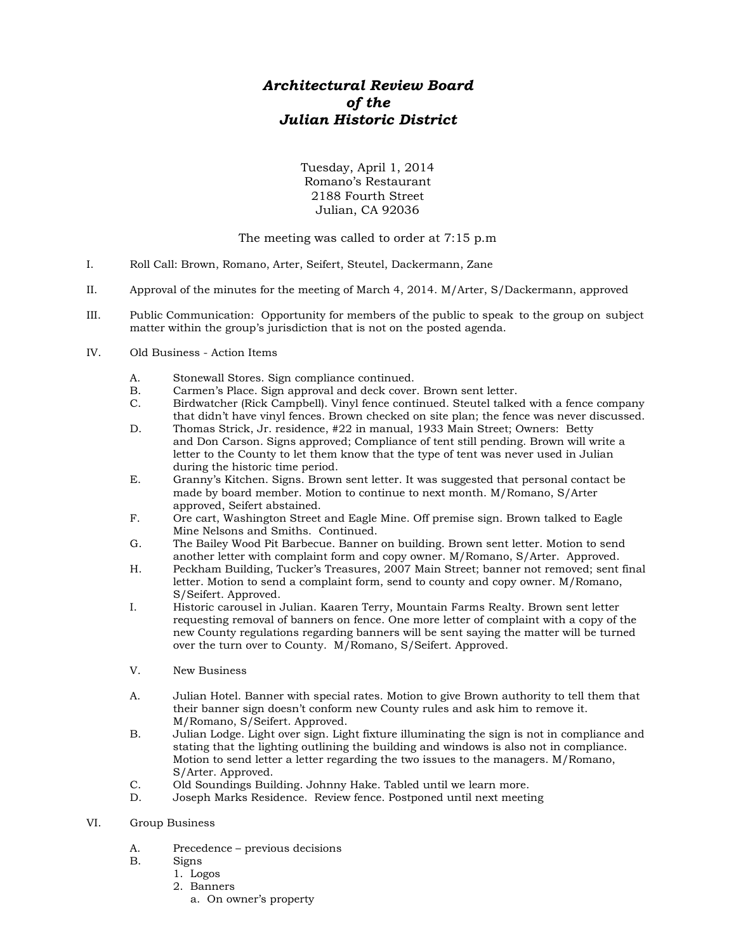## *Architectural Review Board of the Julian Historic District*

Tuesday, April 1, 2014 Romano's Restaurant 2188 Fourth Street Julian, CA 92036

## The meeting was called to order at 7:15 p.m

- I. Roll Call: Brown, Romano, Arter, Seifert, Steutel, Dackermann, Zane
- II. Approval of the minutes for the meeting of March 4, 2014. M/Arter, S/Dackermann, approved
- III. Public Communication: Opportunity for members of the public to speak to the group on subject matter within the group's jurisdiction that is not on the posted agenda.
- IV. Old Business Action Items
	- A. Stonewall Stores. Sign compliance continued.
	- B. Carmen's Place. Sign approval and deck cover. Brown sent letter.
	- C. Birdwatcher (Rick Campbell). Vinyl fence continued. Steutel talked with a fence company that didn't have vinyl fences. Brown checked on site plan; the fence was never discussed.
	- D. Thomas Strick, Jr. residence, #22 in manual, 1933 Main Street; Owners: Betty and Don Carson. Signs approved; Compliance of tent still pending. Brown will write a letter to the County to let them know that the type of tent was never used in Julian during the historic time period.
	- E. Granny's Kitchen. Signs. Brown sent letter. It was suggested that personal contact be made by board member. Motion to continue to next month. M/Romano, S/Arter approved, Seifert abstained.
	- F. Ore cart, Washington Street and Eagle Mine. Off premise sign. Brown talked to Eagle Mine Nelsons and Smiths. Continued.
	- G. The Bailey Wood Pit Barbecue. Banner on building. Brown sent letter. Motion to send another letter with complaint form and copy owner. M/Romano, S/Arter. Approved.
	- H. Peckham Building, Tucker's Treasures, 2007 Main Street; banner not removed; sent final letter. Motion to send a complaint form, send to county and copy owner. M/Romano, S/Seifert. Approved.
	- I. Historic carousel in Julian. Kaaren Terry, Mountain Farms Realty. Brown sent letter requesting removal of banners on fence. One more letter of complaint with a copy of the new County regulations regarding banners will be sent saying the matter will be turned over the turn over to County. M/Romano, S/Seifert. Approved.
	- V. New Business
	- A. Julian Hotel. Banner with special rates. Motion to give Brown authority to tell them that their banner sign doesn't conform new County rules and ask him to remove it. M/Romano, S/Seifert. Approved.
	- B. Julian Lodge. Light over sign. Light fixture illuminating the sign is not in compliance and stating that the lighting outlining the building and windows is also not in compliance. Motion to send letter a letter regarding the two issues to the managers. M/Romano, S/Arter. Approved.
	- C. Old Soundings Building. Johnny Hake. Tabled until we learn more.
	- D. Joseph Marks Residence. Review fence. Postponed until next meeting
- VI. Group Business
	- A. Precedence previous decisions
	- Signs
		- 1. Logos
		- 2. Banners
			- a. On owner's property